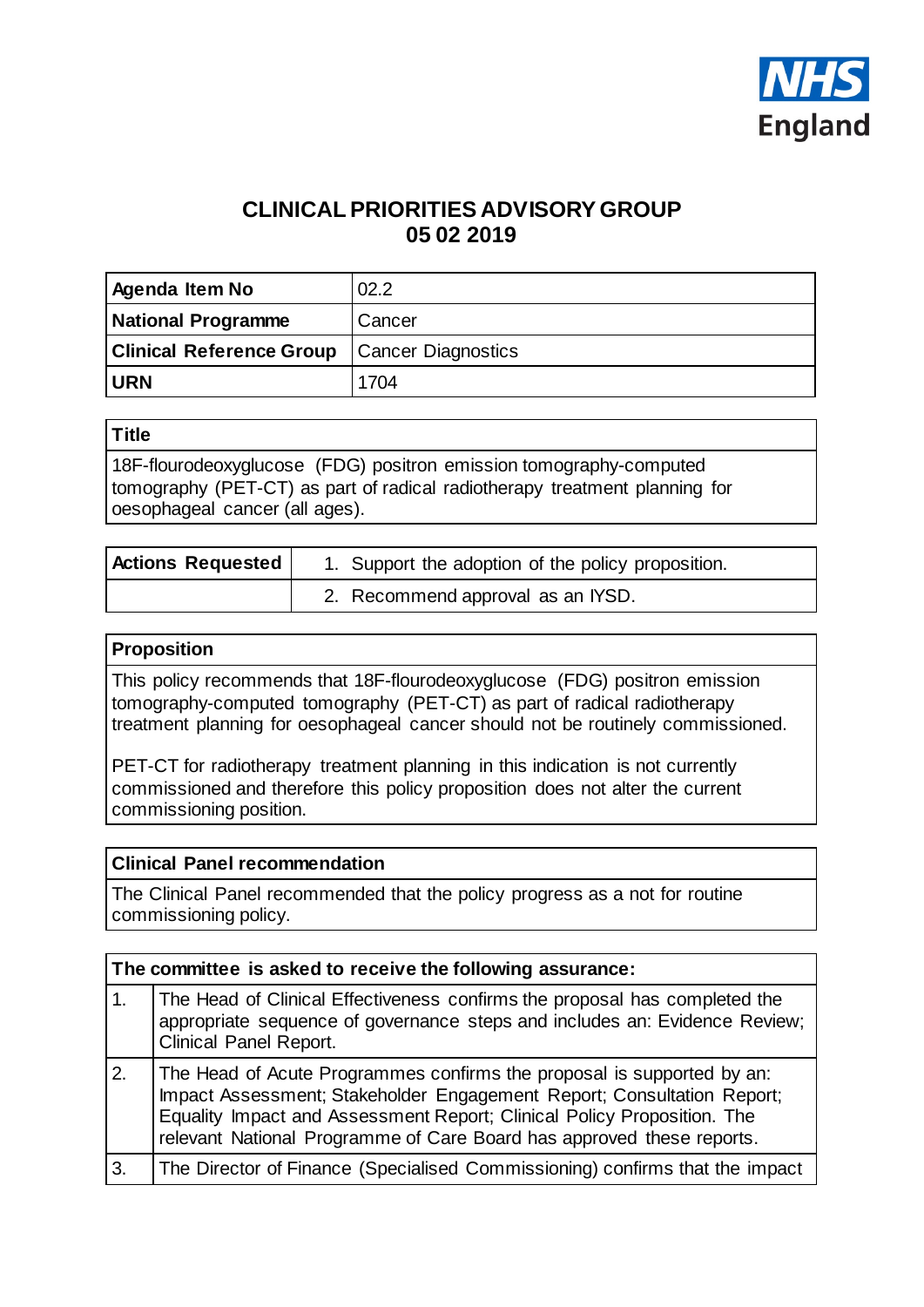

# **CLINICAL PRIORITIES ADVISORY GROUP 05 02 2019**

| Agenda Item No                  | 02.2                      |
|---------------------------------|---------------------------|
| <b>National Programme</b>       | Cancer                    |
| <b>Clinical Reference Group</b> | <b>Cancer Diagnostics</b> |
| <b>URN</b>                      | 1704                      |

### **Title**

18F-flourodeoxyglucose (FDG) positron emission tomography-computed tomography (PET-CT) as part of radical radiotherapy treatment planning for oesophageal cancer (all ages).

| <b>Actions Requested</b> | 1. Support the adoption of the policy proposition. |  |
|--------------------------|----------------------------------------------------|--|
|                          | 2. Recommend approval as an IYSD.                  |  |

#### **Proposition**

This policy recommends that 18F-flourodeoxyglucose (FDG) positron emission tomography-computed tomography (PET-CT) as part of radical radiotherapy treatment planning for oesophageal cancer should not be routinely commissioned.

PET-CT for radiotherapy treatment planning in this indication is not currently commissioned and therefore this policy proposition does not alter the current commissioning position.

#### **Clinical Panel recommendation**

The Clinical Panel recommended that the policy progress as a not for routine commissioning policy.

| The committee is asked to receive the following assurance: |                                                                                                                                                                                                                                                                                                      |  |  |
|------------------------------------------------------------|------------------------------------------------------------------------------------------------------------------------------------------------------------------------------------------------------------------------------------------------------------------------------------------------------|--|--|
| 1.                                                         | The Head of Clinical Effectiveness confirms the proposal has completed the<br>appropriate sequence of governance steps and includes an: Evidence Review;<br><b>Clinical Panel Report.</b>                                                                                                            |  |  |
| 2.                                                         | The Head of Acute Programmes confirms the proposal is supported by an:<br>Impact Assessment; Stakeholder Engagement Report; Consultation Report;<br>Equality Impact and Assessment Report; Clinical Policy Proposition. The<br>relevant National Programme of Care Board has approved these reports. |  |  |
| 3.                                                         | The Director of Finance (Specialised Commissioning) confirms that the impact                                                                                                                                                                                                                         |  |  |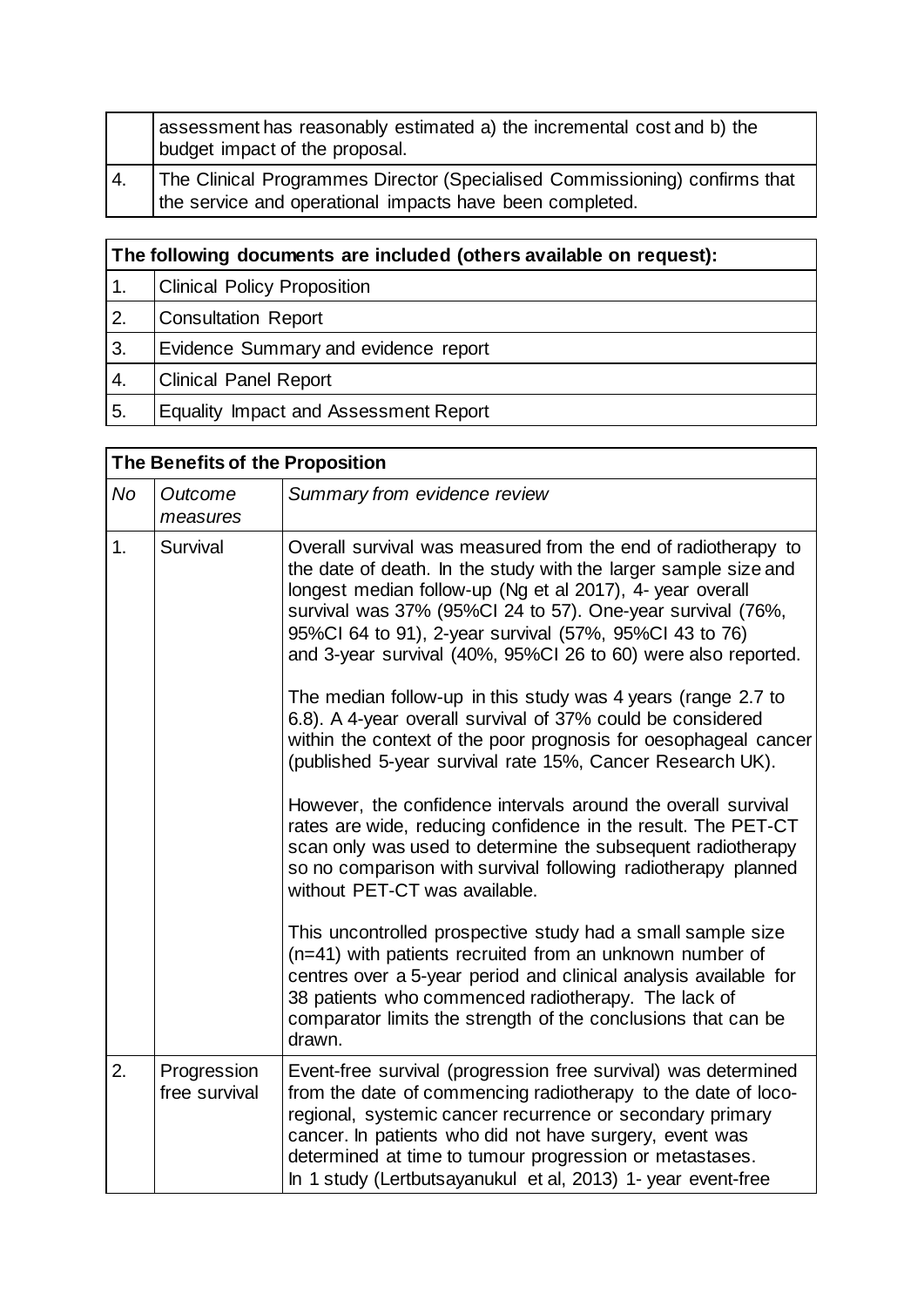|      | assessment has reasonably estimated a) the incremental cost and b) the<br>budget impact of the proposal.                               |
|------|----------------------------------------------------------------------------------------------------------------------------------------|
| I 4. | The Clinical Programmes Director (Specialised Commissioning) confirms that<br>the service and operational impacts have been completed. |

| The following documents are included (others available on request): |                                       |  |  |
|---------------------------------------------------------------------|---------------------------------------|--|--|
|                                                                     | <b>Clinical Policy Proposition</b>    |  |  |
| 2.                                                                  | <b>Consultation Report</b>            |  |  |
| 3.                                                                  | Evidence Summary and evidence report  |  |  |
| 4.                                                                  | <b>Clinical Panel Report</b>          |  |  |
| 5.                                                                  | Equality Impact and Assessment Report |  |  |

|                | The Benefits of the Proposition |                                                                                                                                                                                                                                                                                                                                                                                                                                                                                                                                                                                                                                                                                                                                                                                                                                                                                                                                                         |  |  |  |
|----------------|---------------------------------|---------------------------------------------------------------------------------------------------------------------------------------------------------------------------------------------------------------------------------------------------------------------------------------------------------------------------------------------------------------------------------------------------------------------------------------------------------------------------------------------------------------------------------------------------------------------------------------------------------------------------------------------------------------------------------------------------------------------------------------------------------------------------------------------------------------------------------------------------------------------------------------------------------------------------------------------------------|--|--|--|
| <b>No</b>      | Outcome<br>measures             | Summary from evidence review                                                                                                                                                                                                                                                                                                                                                                                                                                                                                                                                                                                                                                                                                                                                                                                                                                                                                                                            |  |  |  |
| 1.<br>Survival |                                 | Overall survival was measured from the end of radiotherapy to<br>the date of death. In the study with the larger sample size and<br>longest median follow-up (Ng et al 2017), 4- year overall<br>survival was 37% (95%CI 24 to 57). One-year survival (76%,<br>95%CI 64 to 91), 2-year survival (57%, 95%CI 43 to 76)<br>and 3-year survival (40%, 95%CI 26 to 60) were also reported.<br>The median follow-up in this study was 4 years (range 2.7 to<br>6.8). A 4-year overall survival of 37% could be considered<br>within the context of the poor prognosis for oesophageal cancer<br>(published 5-year survival rate 15%, Cancer Research UK).<br>However, the confidence intervals around the overall survival<br>rates are wide, reducing confidence in the result. The PET-CT<br>scan only was used to determine the subsequent radiotherapy<br>so no comparison with survival following radiotherapy planned<br>without PET-CT was available. |  |  |  |
|                |                                 | This uncontrolled prospective study had a small sample size<br>(n=41) with patients recruited from an unknown number of<br>centres over a 5-year period and clinical analysis available for<br>38 patients who commenced radiotherapy. The lack of<br>comparator limits the strength of the conclusions that can be<br>drawn.                                                                                                                                                                                                                                                                                                                                                                                                                                                                                                                                                                                                                           |  |  |  |
| 2.             | Progression<br>free survival    | Event-free survival (progression free survival) was determined<br>from the date of commencing radiotherapy to the date of loco-<br>regional, systemic cancer recurrence or secondary primary<br>cancer. In patients who did not have surgery, event was<br>determined at time to tumour progression or metastases.<br>In 1 study (Lertbutsayanukul et al, 2013) 1- year event-free                                                                                                                                                                                                                                                                                                                                                                                                                                                                                                                                                                      |  |  |  |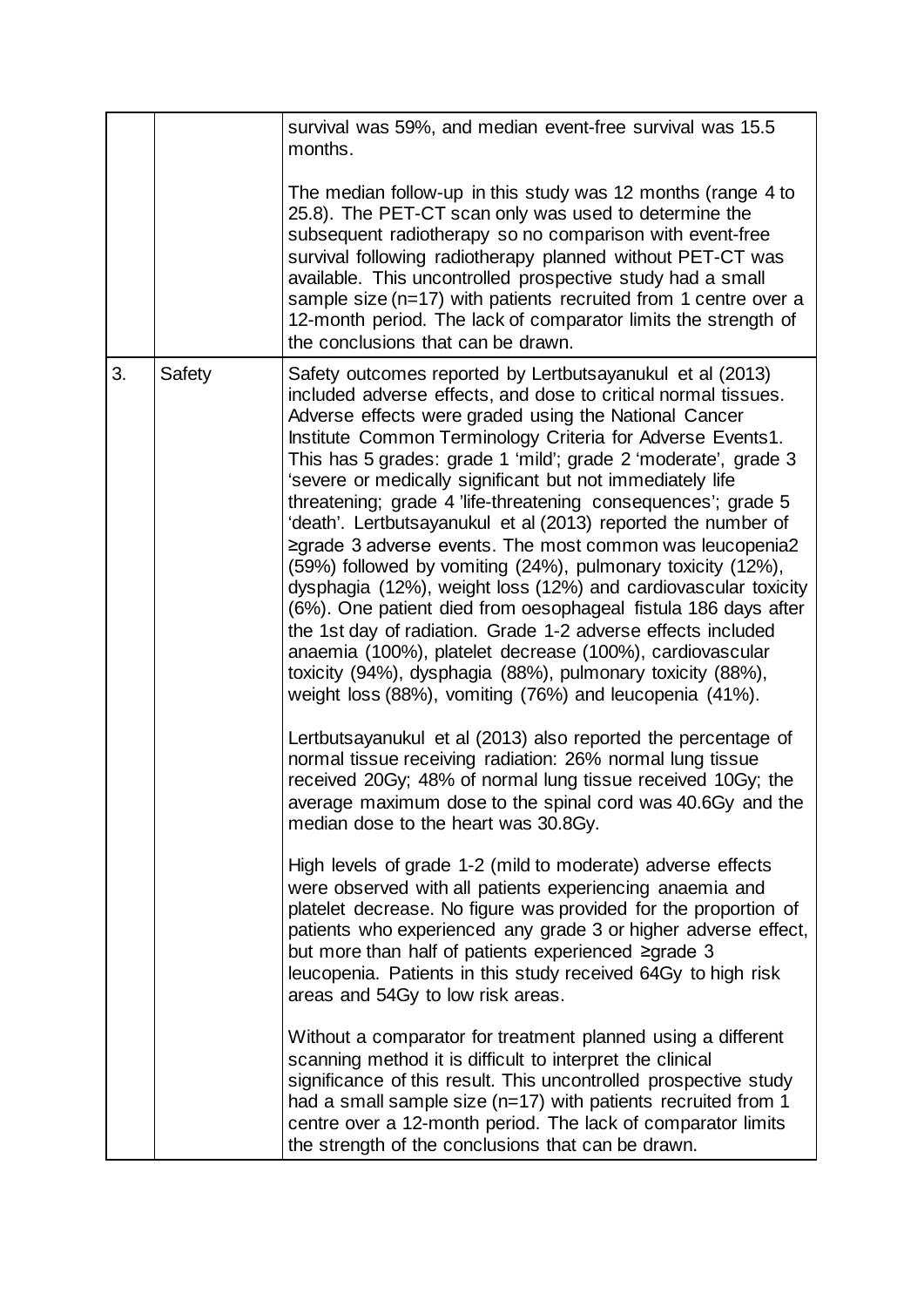|              |  | survival was 59%, and median event-free survival was 15.5<br>months.                                                                                                                                                                                                                                                                                                                                                                                                                                                                                                                                                                                                                                                                                                                                                                                                                                                                                                                                                                    |
|--------------|--|-----------------------------------------------------------------------------------------------------------------------------------------------------------------------------------------------------------------------------------------------------------------------------------------------------------------------------------------------------------------------------------------------------------------------------------------------------------------------------------------------------------------------------------------------------------------------------------------------------------------------------------------------------------------------------------------------------------------------------------------------------------------------------------------------------------------------------------------------------------------------------------------------------------------------------------------------------------------------------------------------------------------------------------------|
|              |  | The median follow-up in this study was 12 months (range 4 to<br>25.8). The PET-CT scan only was used to determine the<br>subsequent radiotherapy so no comparison with event-free<br>survival following radiotherapy planned without PET-CT was<br>available. This uncontrolled prospective study had a small<br>sample size (n=17) with patients recruited from 1 centre over a<br>12-month period. The lack of comparator limits the strength of<br>the conclusions that can be drawn.                                                                                                                                                                                                                                                                                                                                                                                                                                                                                                                                                |
| 3.<br>Safety |  | Safety outcomes reported by Lertbutsayanukul et al (2013)<br>included adverse effects, and dose to critical normal tissues.<br>Adverse effects were graded using the National Cancer<br>Institute Common Terminology Criteria for Adverse Events1.<br>This has 5 grades: grade 1 'mild'; grade 2 'moderate', grade 3<br>'severe or medically significant but not immediately life<br>threatening; grade 4 'life-threatening consequences'; grade 5<br>'death'. Lertbutsayanukul et al (2013) reported the number of<br>≥grade 3 adverse events. The most common was leucopenia2<br>(59%) followed by vomiting (24%), pulmonary toxicity (12%),<br>dysphagia (12%), weight loss (12%) and cardiovascular toxicity<br>(6%). One patient died from oesophageal fistula 186 days after<br>the 1st day of radiation. Grade 1-2 adverse effects included<br>anaemia (100%), platelet decrease (100%), cardiovascular<br>toxicity (94%), dysphagia (88%), pulmonary toxicity (88%),<br>weight loss (88%), vomiting (76%) and leucopenia (41%). |
|              |  | Lertbutsayanukul et al (2013) also reported the percentage of<br>normal tissue receiving radiation: 26% normal lung tissue<br>received 20Gy; 48% of normal lung tissue received 10Gy; the<br>average maximum dose to the spinal cord was 40.6Gy and the<br>median dose to the heart was 30.8Gy.                                                                                                                                                                                                                                                                                                                                                                                                                                                                                                                                                                                                                                                                                                                                         |
|              |  | High levels of grade 1-2 (mild to moderate) adverse effects<br>were observed with all patients experiencing anaemia and<br>platelet decrease. No figure was provided for the proportion of<br>patients who experienced any grade 3 or higher adverse effect,<br>but more than half of patients experienced ≥grade 3<br>leucopenia. Patients in this study received 64Gy to high risk<br>areas and 54Gy to low risk areas.                                                                                                                                                                                                                                                                                                                                                                                                                                                                                                                                                                                                               |
|              |  | Without a comparator for treatment planned using a different<br>scanning method it is difficult to interpret the clinical<br>significance of this result. This uncontrolled prospective study<br>had a small sample size ( $n=17$ ) with patients recruited from 1<br>centre over a 12-month period. The lack of comparator limits<br>the strength of the conclusions that can be drawn.                                                                                                                                                                                                                                                                                                                                                                                                                                                                                                                                                                                                                                                |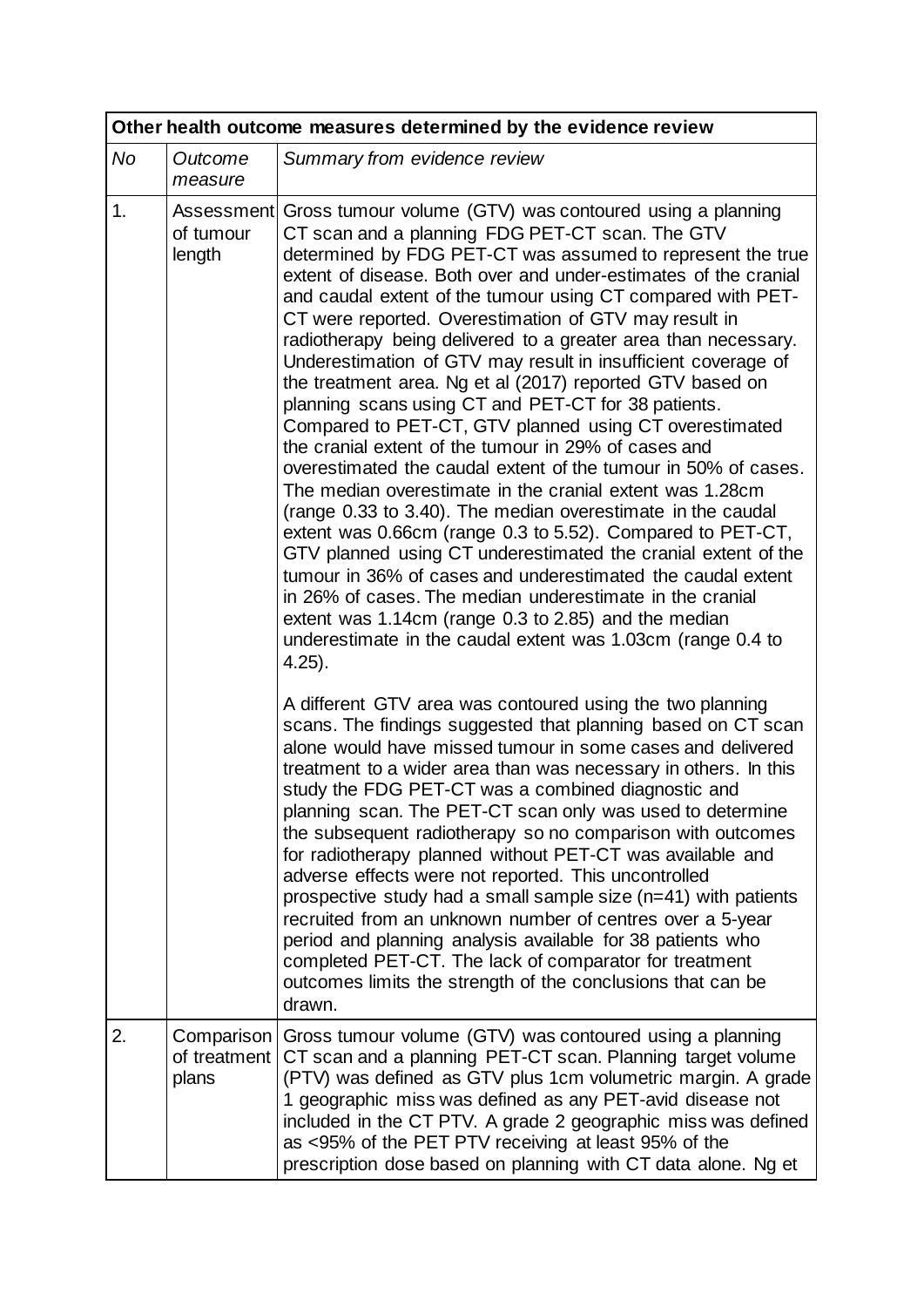|                                        | Other health outcome measures determined by the evidence review |                                                                                                                                                                                                                                                                                                                                                                                                                                                                                                                                                                                                                                                                                                                                                                                                                                                                                                                                                                                                                                                                                                                                                                                                                                                                                                                                        |  |  |
|----------------------------------------|-----------------------------------------------------------------|----------------------------------------------------------------------------------------------------------------------------------------------------------------------------------------------------------------------------------------------------------------------------------------------------------------------------------------------------------------------------------------------------------------------------------------------------------------------------------------------------------------------------------------------------------------------------------------------------------------------------------------------------------------------------------------------------------------------------------------------------------------------------------------------------------------------------------------------------------------------------------------------------------------------------------------------------------------------------------------------------------------------------------------------------------------------------------------------------------------------------------------------------------------------------------------------------------------------------------------------------------------------------------------------------------------------------------------|--|--|
| No                                     | Outcome<br>measure                                              | Summary from evidence review                                                                                                                                                                                                                                                                                                                                                                                                                                                                                                                                                                                                                                                                                                                                                                                                                                                                                                                                                                                                                                                                                                                                                                                                                                                                                                           |  |  |
| 1.<br>of tumour<br>length<br>$4.25$ ). |                                                                 | Assessment Gross tumour volume (GTV) was contoured using a planning<br>CT scan and a planning FDG PET-CT scan. The GTV<br>determined by FDG PET-CT was assumed to represent the true<br>extent of disease. Both over and under-estimates of the cranial<br>and caudal extent of the tumour using CT compared with PET-<br>CT were reported. Overestimation of GTV may result in<br>radiotherapy being delivered to a greater area than necessary.<br>Underestimation of GTV may result in insufficient coverage of<br>the treatment area. Ng et al (2017) reported GTV based on<br>planning scans using CT and PET-CT for 38 patients.<br>Compared to PET-CT, GTV planned using CT overestimated<br>the cranial extent of the tumour in 29% of cases and<br>overestimated the caudal extent of the tumour in 50% of cases.<br>The median overestimate in the cranial extent was 1.28cm<br>(range 0.33 to 3.40). The median overestimate in the caudal<br>extent was 0.66cm (range 0.3 to 5.52). Compared to PET-CT,<br>GTV planned using CT underestimated the cranial extent of the<br>tumour in 36% of cases and underestimated the caudal extent<br>in 26% of cases. The median underestimate in the cranial<br>extent was 1.14cm (range 0.3 to 2.85) and the median<br>underestimate in the caudal extent was 1.03cm (range 0.4 to |  |  |
|                                        |                                                                 | A different GTV area was contoured using the two planning<br>scans. The findings suggested that planning based on CT scan<br>alone would have missed tumour in some cases and delivered<br>treatment to a wider area than was necessary in others. In this<br>study the FDG PET-CT was a combined diagnostic and<br>planning scan. The PET-CT scan only was used to determine<br>the subsequent radiotherapy so no comparison with outcomes<br>for radiotherapy planned without PET-CT was available and<br>adverse effects were not reported. This uncontrolled<br>prospective study had a small sample size (n=41) with patients<br>recruited from an unknown number of centres over a 5-year<br>period and planning analysis available for 38 patients who<br>completed PET-CT. The lack of comparator for treatment<br>outcomes limits the strength of the conclusions that can be<br>drawn.                                                                                                                                                                                                                                                                                                                                                                                                                                       |  |  |
| 2.                                     | Comparison<br>of treatment<br>plans                             | Gross tumour volume (GTV) was contoured using a planning<br>CT scan and a planning PET-CT scan. Planning target volume<br>(PTV) was defined as GTV plus 1cm volumetric margin. A grade<br>1 geographic miss was defined as any PET-avid disease not<br>included in the CT PTV. A grade 2 geographic miss was defined<br>as <95% of the PET PTV receiving at least 95% of the<br>prescription dose based on planning with CT data alone. Ng et                                                                                                                                                                                                                                                                                                                                                                                                                                                                                                                                                                                                                                                                                                                                                                                                                                                                                          |  |  |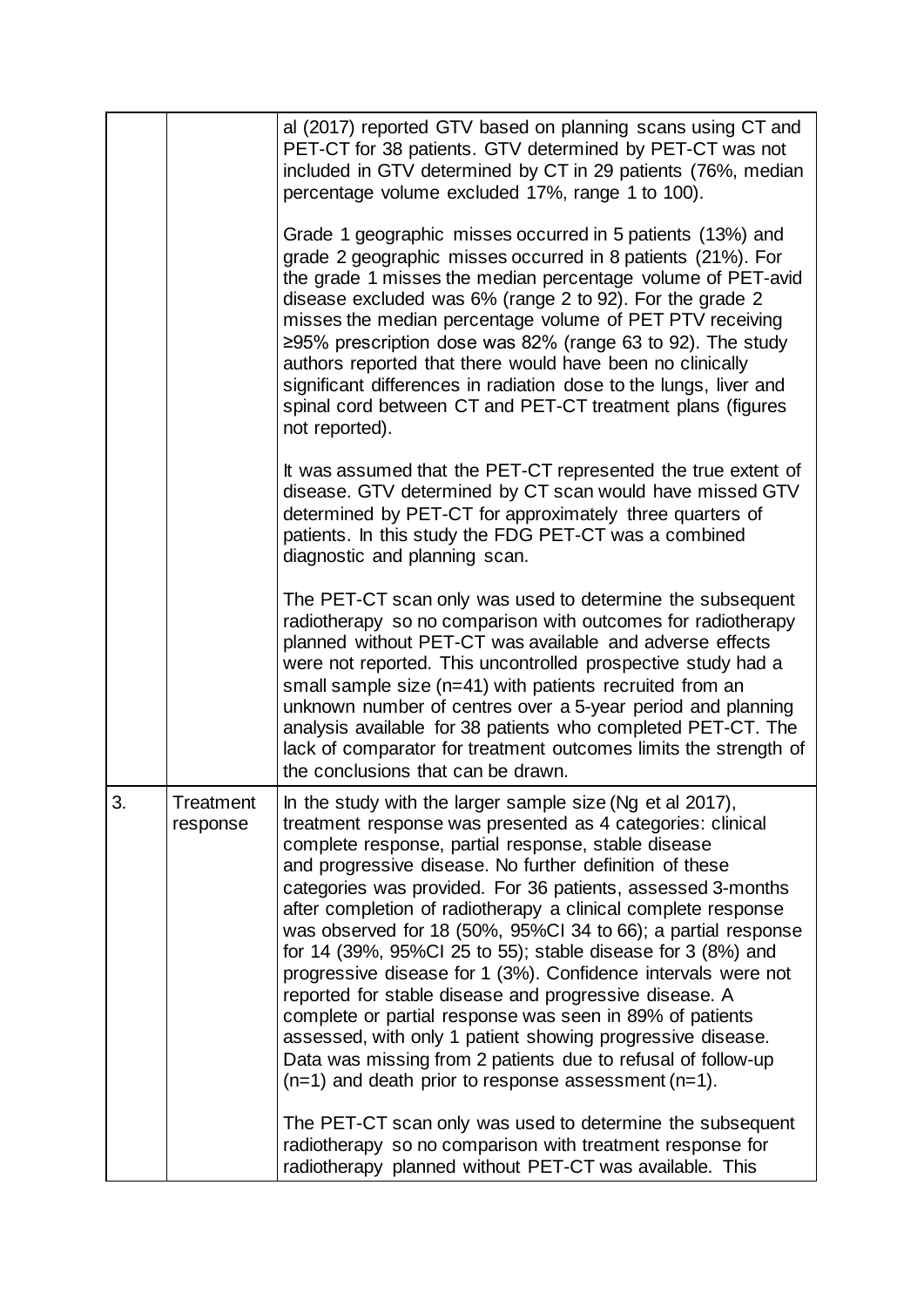|                            |  | al (2017) reported GTV based on planning scans using CT and<br>PET-CT for 38 patients. GTV determined by PET-CT was not<br>included in GTV determined by CT in 29 patients (76%, median<br>percentage volume excluded 17%, range 1 to 100).<br>Grade 1 geographic misses occurred in 5 patients (13%) and<br>grade 2 geographic misses occurred in 8 patients (21%). For<br>the grade 1 misses the median percentage volume of PET-avid<br>disease excluded was 6% (range 2 to 92). For the grade 2<br>misses the median percentage volume of PET PTV receiving<br>≥95% prescription dose was 82% (range 63 to 92). The study<br>authors reported that there would have been no clinically                                                                                                                                                                                                                                                              |
|----------------------------|--|---------------------------------------------------------------------------------------------------------------------------------------------------------------------------------------------------------------------------------------------------------------------------------------------------------------------------------------------------------------------------------------------------------------------------------------------------------------------------------------------------------------------------------------------------------------------------------------------------------------------------------------------------------------------------------------------------------------------------------------------------------------------------------------------------------------------------------------------------------------------------------------------------------------------------------------------------------|
|                            |  | significant differences in radiation dose to the lungs, liver and<br>spinal cord between CT and PET-CT treatment plans (figures<br>not reported).                                                                                                                                                                                                                                                                                                                                                                                                                                                                                                                                                                                                                                                                                                                                                                                                       |
|                            |  | It was assumed that the PET-CT represented the true extent of<br>disease. GTV determined by CT scan would have missed GTV<br>determined by PET-CT for approximately three quarters of<br>patients. In this study the FDG PET-CT was a combined<br>diagnostic and planning scan.                                                                                                                                                                                                                                                                                                                                                                                                                                                                                                                                                                                                                                                                         |
|                            |  | The PET-CT scan only was used to determine the subsequent<br>radiotherapy so no comparison with outcomes for radiotherapy<br>planned without PET-CT was available and adverse effects<br>were not reported. This uncontrolled prospective study had a<br>small sample size (n=41) with patients recruited from an<br>unknown number of centres over a 5-year period and planning<br>analysis available for 38 patients who completed PET-CT. The<br>lack of comparator for treatment outcomes limits the strength of<br>the conclusions that can be drawn.                                                                                                                                                                                                                                                                                                                                                                                              |
| 3<br>Treatment<br>response |  | In the study with the larger sample size (Ng et al 2017).<br>treatment response was presented as 4 categories: clinical<br>complete response, partial response, stable disease<br>and progressive disease. No further definition of these<br>categories was provided. For 36 patients, assessed 3-months<br>after completion of radiotherapy a clinical complete response<br>was observed for 18 (50%, 95%CI 34 to 66); a partial response<br>for 14 (39%, 95%Cl 25 to 55); stable disease for 3 (8%) and<br>progressive disease for 1 (3%). Confidence intervals were not<br>reported for stable disease and progressive disease. A<br>complete or partial response was seen in 89% of patients<br>assessed, with only 1 patient showing progressive disease.<br>Data was missing from 2 patients due to refusal of follow-up<br>$(n=1)$ and death prior to response assessment $(n=1)$ .<br>The PET-CT scan only was used to determine the subsequent |
|                            |  | radiotherapy so no comparison with treatment response for<br>radiotherapy planned without PET-CT was available. This                                                                                                                                                                                                                                                                                                                                                                                                                                                                                                                                                                                                                                                                                                                                                                                                                                    |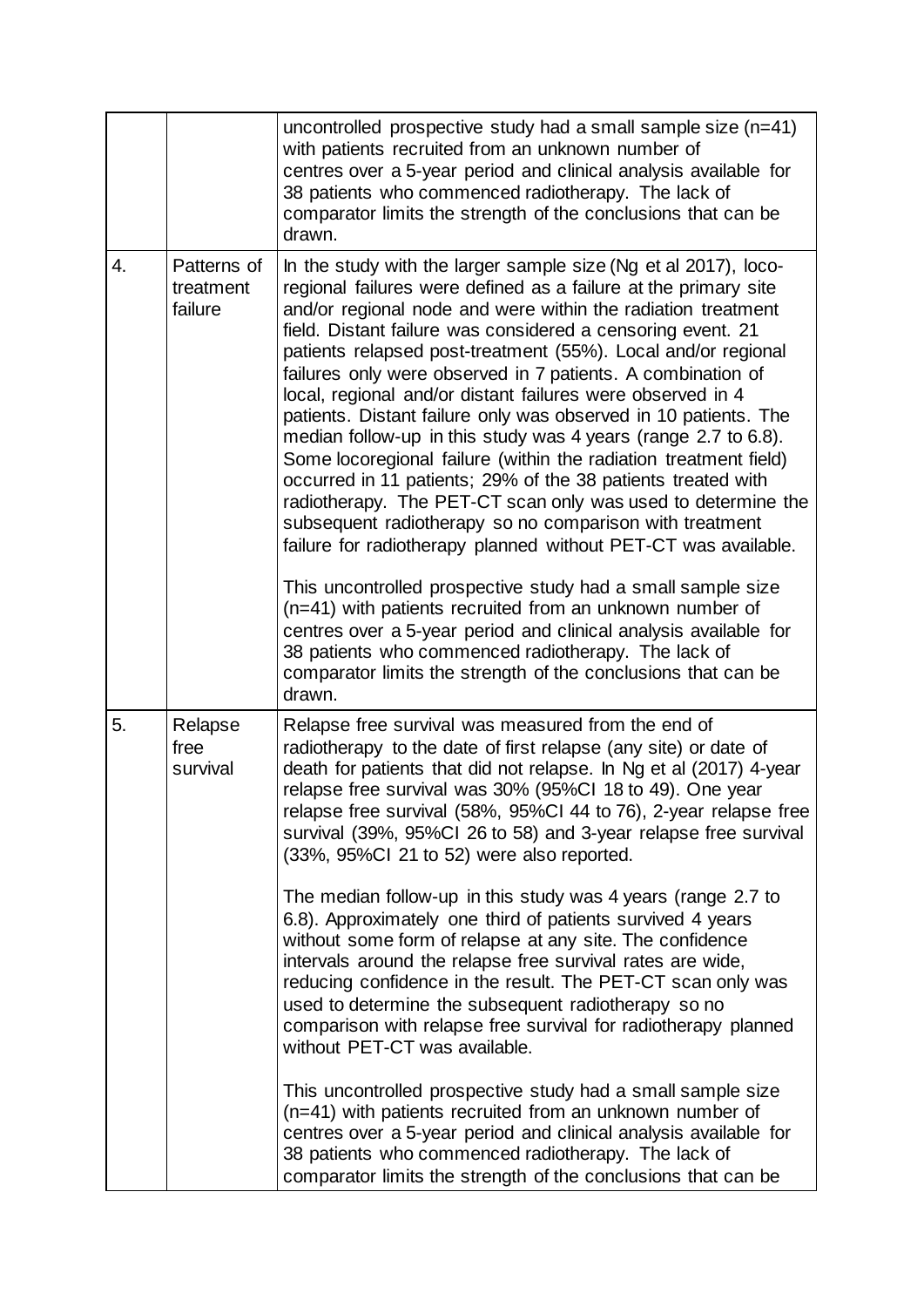|    |                                     | uncontrolled prospective study had a small sample size (n=41)<br>with patients recruited from an unknown number of<br>centres over a 5-year period and clinical analysis available for<br>38 patients who commenced radiotherapy. The lack of<br>comparator limits the strength of the conclusions that can be<br>drawn.                                                                                                                                                                                                                                                                                                                                                                                                                                                                                                                                                                                                                                                                                                                                                                                                                                                                                                                                               |
|----|-------------------------------------|------------------------------------------------------------------------------------------------------------------------------------------------------------------------------------------------------------------------------------------------------------------------------------------------------------------------------------------------------------------------------------------------------------------------------------------------------------------------------------------------------------------------------------------------------------------------------------------------------------------------------------------------------------------------------------------------------------------------------------------------------------------------------------------------------------------------------------------------------------------------------------------------------------------------------------------------------------------------------------------------------------------------------------------------------------------------------------------------------------------------------------------------------------------------------------------------------------------------------------------------------------------------|
| 4. | Patterns of<br>treatment<br>failure | In the study with the larger sample size (Ng et al 2017), loco-<br>regional failures were defined as a failure at the primary site<br>and/or regional node and were within the radiation treatment<br>field. Distant failure was considered a censoring event. 21<br>patients relapsed post-treatment (55%). Local and/or regional<br>failures only were observed in 7 patients. A combination of<br>local, regional and/or distant failures were observed in 4<br>patients. Distant failure only was observed in 10 patients. The<br>median follow-up in this study was 4 years (range 2.7 to 6.8).<br>Some locoregional failure (within the radiation treatment field)<br>occurred in 11 patients; 29% of the 38 patients treated with<br>radiotherapy. The PET-CT scan only was used to determine the<br>subsequent radiotherapy so no comparison with treatment<br>failure for radiotherapy planned without PET-CT was available.<br>This uncontrolled prospective study had a small sample size<br>(n=41) with patients recruited from an unknown number of<br>centres over a 5-year period and clinical analysis available for<br>38 patients who commenced radiotherapy. The lack of<br>comparator limits the strength of the conclusions that can be<br>drawn. |
| 5. | Relapse<br>free<br>survival         | Relapse free survival was measured from the end of<br>radiotherapy to the date of first relapse (any site) or date of<br>death for patients that did not relapse. In Ng et al (2017) 4-year<br>relapse free survival was 30% (95%CI 18 to 49). One year<br>relapse free survival (58%, 95%CI 44 to 76), 2-year relapse free<br>survival (39%, 95%CI 26 to 58) and 3-year relapse free survival<br>(33%, 95%Cl 21 to 52) were also reported.<br>The median follow-up in this study was 4 years (range 2.7 to<br>6.8). Approximately one third of patients survived 4 years<br>without some form of relapse at any site. The confidence<br>intervals around the relapse free survival rates are wide,<br>reducing confidence in the result. The PET-CT scan only was<br>used to determine the subsequent radiotherapy so no<br>comparison with relapse free survival for radiotherapy planned<br>without PET-CT was available.<br>This uncontrolled prospective study had a small sample size<br>(n=41) with patients recruited from an unknown number of<br>centres over a 5-year period and clinical analysis available for                                                                                                                                            |
|    |                                     | 38 patients who commenced radiotherapy. The lack of<br>comparator limits the strength of the conclusions that can be                                                                                                                                                                                                                                                                                                                                                                                                                                                                                                                                                                                                                                                                                                                                                                                                                                                                                                                                                                                                                                                                                                                                                   |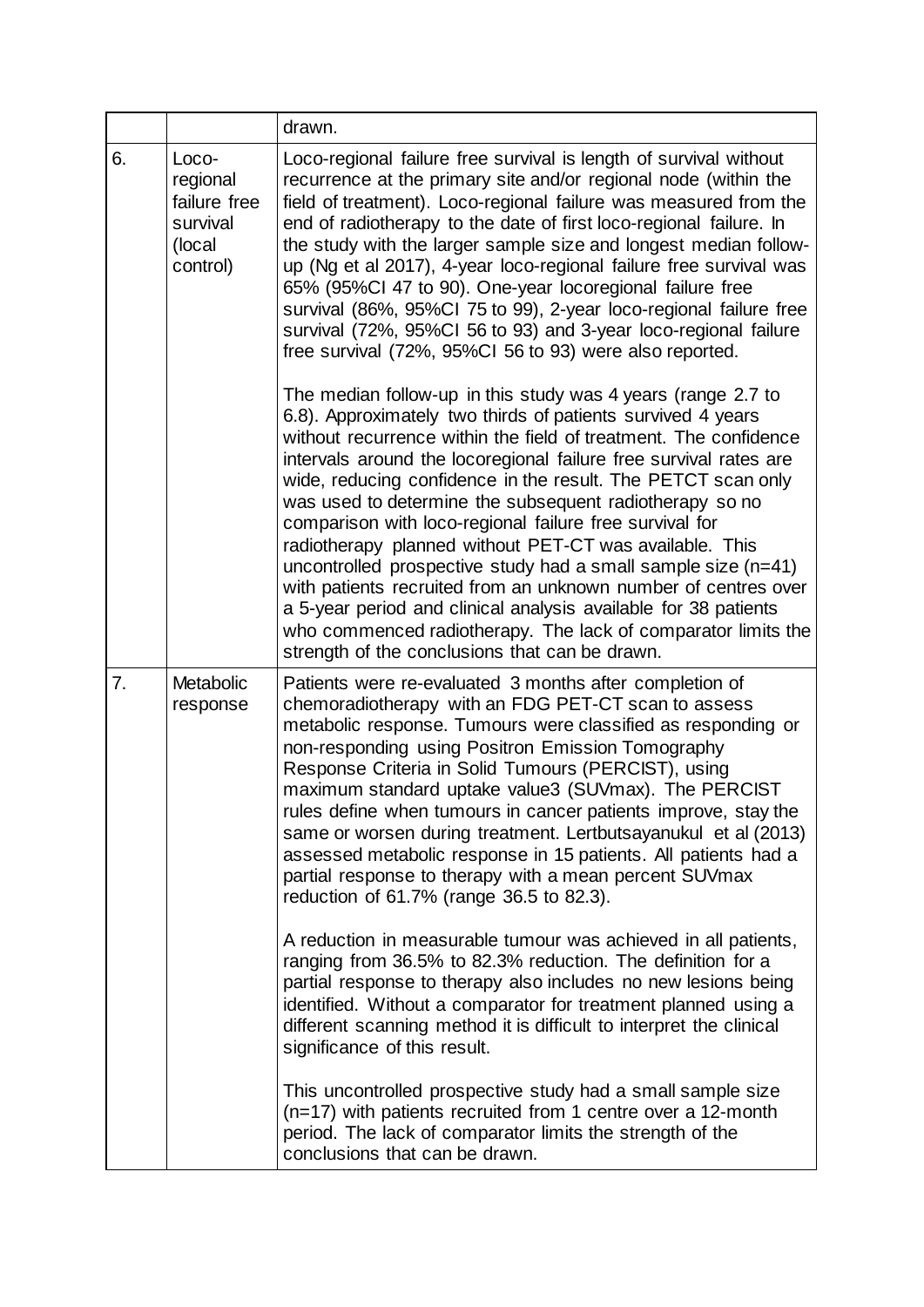| drawn.                                                                                                                                                                                                                                                                                                                                                                                                                                                                                                                                                                                                                                                                                                                                                                                                                                                                                                                                                                                                                                                                                                                                                                                                                                   |  |
|------------------------------------------------------------------------------------------------------------------------------------------------------------------------------------------------------------------------------------------------------------------------------------------------------------------------------------------------------------------------------------------------------------------------------------------------------------------------------------------------------------------------------------------------------------------------------------------------------------------------------------------------------------------------------------------------------------------------------------------------------------------------------------------------------------------------------------------------------------------------------------------------------------------------------------------------------------------------------------------------------------------------------------------------------------------------------------------------------------------------------------------------------------------------------------------------------------------------------------------|--|
| Loco-regional failure free survival is length of survival without<br>recurrence at the primary site and/or regional node (within the<br>regional<br>failure free<br>field of treatment). Loco-regional failure was measured from the<br>end of radiotherapy to the date of first loco-regional failure. In<br>survival<br>the study with the larger sample size and longest median follow-<br>up (Ng et al 2017), 4-year loco-regional failure free survival was<br>control)<br>65% (95%CI 47 to 90). One-year locoregional failure free<br>survival (86%, 95%Cl 75 to 99), 2-year loco-regional failure free<br>survival (72%, 95%CI 56 to 93) and 3-year loco-regional failure<br>free survival (72%, 95%CI 56 to 93) were also reported.                                                                                                                                                                                                                                                                                                                                                                                                                                                                                              |  |
| The median follow-up in this study was 4 years (range 2.7 to<br>6.8). Approximately two thirds of patients survived 4 years<br>without recurrence within the field of treatment. The confidence<br>intervals around the locoregional failure free survival rates are<br>wide, reducing confidence in the result. The PETCT scan only<br>was used to determine the subsequent radiotherapy so no<br>comparison with loco-regional failure free survival for<br>radiotherapy planned without PET-CT was available. This<br>uncontrolled prospective study had a small sample size $(n=41)$<br>with patients recruited from an unknown number of centres over<br>a 5-year period and clinical analysis available for 38 patients<br>who commenced radiotherapy. The lack of comparator limits the<br>strength of the conclusions that can be drawn.                                                                                                                                                                                                                                                                                                                                                                                         |  |
| Patients were re-evaluated 3 months after completion of<br>chemoradiotherapy with an FDG PET-CT scan to assess<br>metabolic response. Tumours were classified as responding or<br>non-responding using Positron Emission Tomography<br>Response Criteria in Solid Tumours (PERCIST), using<br>maximum standard uptake value3 (SUVmax). The PERCIST<br>rules define when tumours in cancer patients improve, stay the<br>same or worsen during treatment. Lertbutsayanukul et al (2013)<br>assessed metabolic response in 15 patients. All patients had a<br>partial response to therapy with a mean percent SUVmax<br>reduction of 61.7% (range 36.5 to 82.3).<br>A reduction in measurable tumour was achieved in all patients,<br>ranging from 36.5% to 82.3% reduction. The definition for a<br>partial response to therapy also includes no new lesions being<br>identified. Without a comparator for treatment planned using a<br>different scanning method it is difficult to interpret the clinical<br>significance of this result.<br>This uncontrolled prospective study had a small sample size<br>$(n=17)$ with patients recruited from 1 centre over a 12-month<br>period. The lack of comparator limits the strength of the |  |
| Metabolic<br>response                                                                                                                                                                                                                                                                                                                                                                                                                                                                                                                                                                                                                                                                                                                                                                                                                                                                                                                                                                                                                                                                                                                                                                                                                    |  |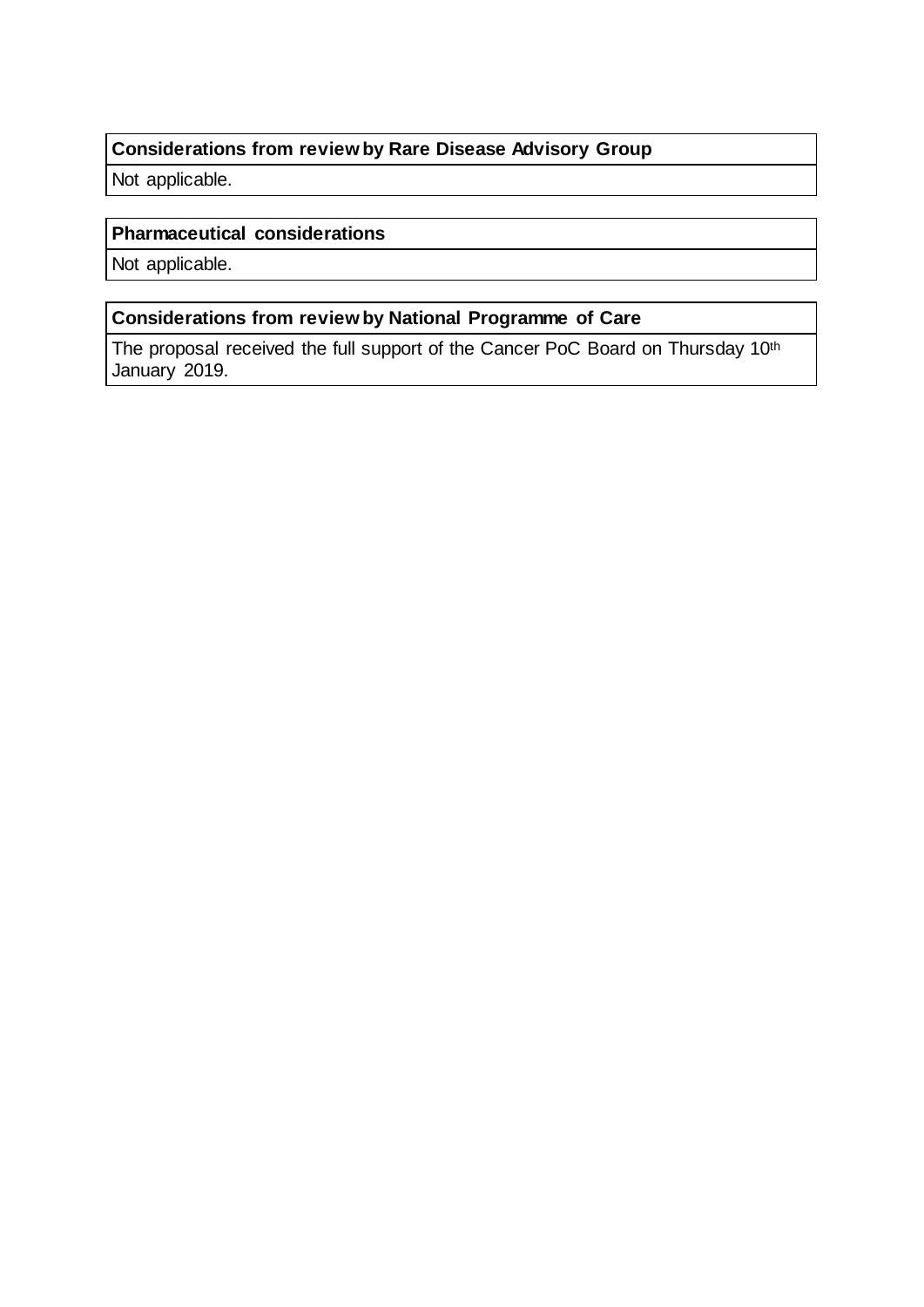### **Considerations from review by Rare Disease Advisory Group**

Not applicable.

#### **Pharmaceutical considerations**

Not applicable.

### **Considerations from review by National Programme of Care**

The proposal received the full support of the Cancer PoC Board on Thursday 10th January 2019.